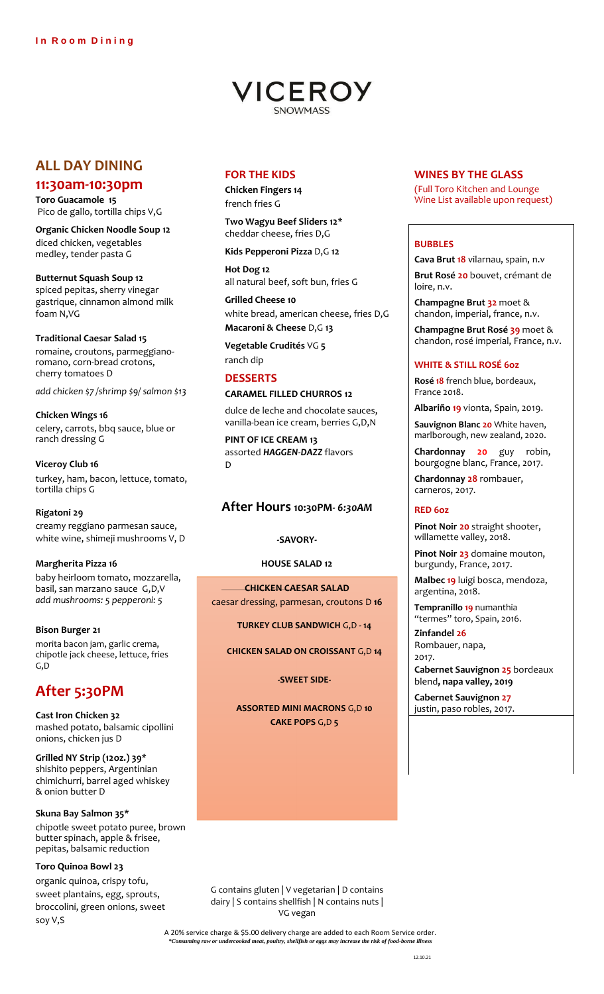

# **ALL DAY DINING**

# **11:30am-10:30pm**

**Toro Guacamole 15** Pico de gallo, tortilla chips V,G

**Organic Chicken Noodle Soup 12** diced chicken, vegetables medley, tender pasta G

**Butternut Squash Soup 12** spiced pepitas, sherry vinegar gastrique, cinnamon almond milk foam N,VG

## **Traditional Caesar Salad 15**

romaine, croutons, parmeggianoromano, corn-bread crotons, cherry tomatoes D

*add chicken \$7 /shrimp \$9/ salmon \$13*

**Chicken Wings 16** celery, carrots, bbq sauce, blue or ranch dressing G

**Viceroy Club 16** turkey, ham, bacon, lettuce, tomato, tortilla chips G

## **Rigatoni 29**

creamy reggiano parmesan sauce, white wine, shimeji mushrooms V, D

## **Margherita Pizza 16**

baby heirloom tomato, mozzarella, basil, san marzano sauce G,D,V *add mushrooms: 5 pepperoni: 5*

**Bison Burger 21** morita bacon jam, garlic crema, chipotle jack cheese, lettuce, fries G,D

# **After 5:30PM**

**Cast Iron Chicken 32**  mashed potato, balsamic cipollini onions, chicken jus D

**Grilled NY Strip (12oz.) 39\***  shishito peppers, Argentinian chimichurri, barrel aged whiskey & onion butter D

**Skuna Bay Salmon 35\*** chipotle sweet potato puree, brown butter spinach, apple & frisee, pepitas, balsamic reduction

## **Toro Quinoa Bowl 23**

organic quinoa, crispy tofu, sweet plantains, egg, sprouts, broccolini, green onions, sweet soy V,S

# **FOR THE KIDS**

**Chicken Fingers 14** french fries G

**Two Wagyu Beef Sliders 12\*** cheddar cheese, fries D,G

**Kids Pepperoni Pizza** D,G **12**

**Hot Dog 12** all natural beef, soft bun, fries G

**Grilled Cheese 10** white bread, american cheese, fries D,G **Macaroni & Cheese** D,G **13**

**Vegetable Crudités** VG **5**  ranch dip

## **DESSERTS**

### **CARAMEL FILLED CHURROS 12**

dulce de leche and chocolate sauces, vanilla-bean ice cream, berries G,D,N

**PINT OF ICE CREAM 13**  assorted *HAGGEN-DAZZ* flavors D

## **After Hours 10:30PM***- 6:30AM*

#### **-SAVORY-**

**HOUSE SALAD 12**

**CHICKEN CAESAR SALAD** caesar dressing, parmesan, croutons D **16**

**TURKEY CLUB SANDWICH** G,D **- 14** 

**CHICKEN SALAD ON CROISSANT** G,D **14** 

**-SWEET SIDE-**

**ASSORTED MINI MACRONS** G,D **10 CAKE POPS** G,D **5** 

# **WINES BY THE GLASS**

(Full Toro Kitchen and Lounge Wine List available upon request)

## **BUBBLES**

**Cava Brut 18** vilarnau, spain, n.v

**Brut Rosé 20** bouvet, crémant de loire, n.v.

**Champagne Brut 32** moet & chandon, imperial, france, n.v.

**Champagne Brut Rosé 39** moet & chandon, rosé imperial, France, n.v.

### **WHITE & STILL ROSÉ 6oz**

**Rosé 18** french blue, bordeaux, France 2018.

**Albariño 19** vionta, Spain, 2019.

**Sauvignon Blanc 20** White haven, marlborough, new zealand, 2020.

**Chardonnay 20** guy robin, bourgogne blanc, France, 2017.

**Chardonnay 28** rombauer, carneros, 2017.

## **RED 6oz**

**Pinot Noir 20** straight shooter, willamette valley, 2018.

**Pinot Noir 23** domaine mouton, burgundy, France, 2017.

**Malbec 19** luigi bosca, mendoza, argentina, 2018.

**Tempranillo 19** numanthia "termes" toro, Spain, 2016.

**Zinfandel 26**  Rombauer, napa, 2017.

**Cabernet Sauvignon 25** bordeaux blend**, napa valley, 2019**

**Cabernet Sauvignon 27**  justin, paso robles, 2017.

G contains gluten | V vegetarian | D contains dairy | S contains shellfish | N contains nuts | VG vegan

A 20% service charge & \$5.00 delivery charge are added to each Room Service order. *Frace change of porce definer*, shellfish or eggs may increase the risk of food-borne ing raw or undercooked meat, poultry, shellfish or eggs may increase the risk of food-